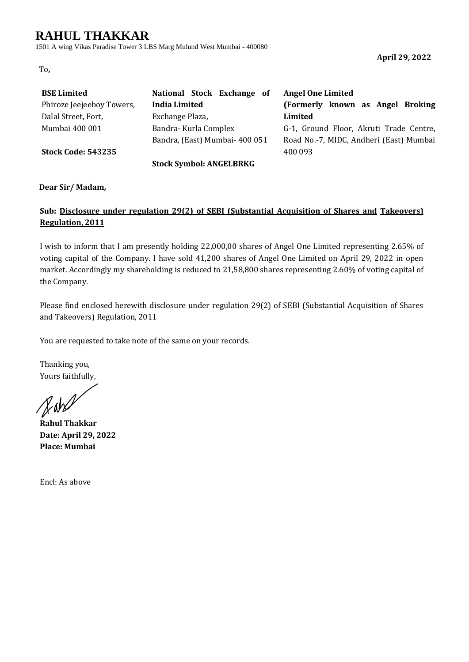1501 A wing Vikas Paradise Tower 3 LBS Marg Mulund West Mumbai - 400080

To**,**

**April 29, 2022**

| <b>BSE Limited</b>        | National Stock Exchange of     | <b>Angel One Limited</b>                |
|---------------------------|--------------------------------|-----------------------------------------|
| Phiroze Jeejeeboy Towers, | <b>India Limited</b>           | (Formerly known as Angel Broking        |
| Dalal Street, Fort,       | Exchange Plaza,                | Limited                                 |
| Mumbai 400 001            | Bandra- Kurla Complex          | G-1, Ground Floor, Akruti Trade Centre, |
|                           | Bandra, (East) Mumbai- 400 051 | Road No.-7, MIDC, Andheri (East) Mumbai |
| <b>Stock Code: 543235</b> |                                | 400 093                                 |
|                           | <b>Stock Symbol: ANGELBRKG</b> |                                         |

#### **Dear Sir/ Madam,**

### **Sub: Disclosure under regulation 29(2) of SEBI (Substantial Acquisition of Shares and Takeovers) Regulation, 2011**

I wish to inform that I am presently holding 22,000,00 shares of Angel One Limited representing 2.65% of voting capital of the Company. I have sold 41,200 shares of Angel One Limited on April 29, 2022 in open market. Accordingly my shareholding is reduced to 21,58,800 shares representing 2.60% of voting capital of the Company.

Please find enclosed herewith disclosure under regulation 29(2) of SEBI (Substantial Acquisition of Shares and Takeovers) Regulation, 2011

You are requested to take note of the same on your records.

Thanking you, Yours faithfully,

Rahe

**Rahul Thakkar Date: April 29, 2022 Place: Mumbai**

Encl: As above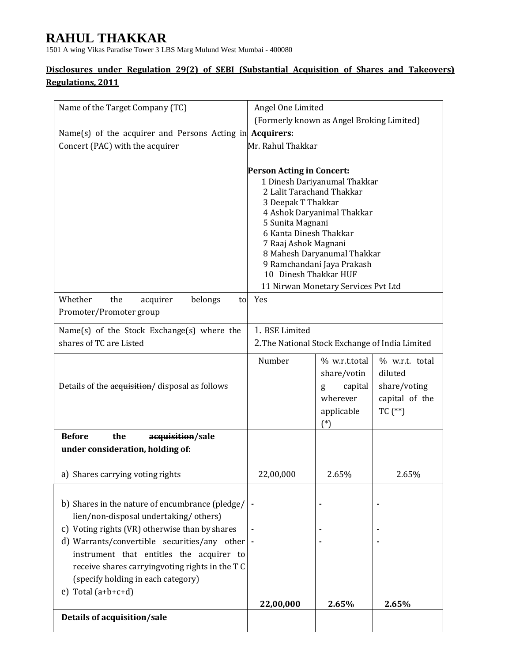1501 A wing Vikas Paradise Tower 3 LBS Marg Mulund West Mumbai - 400080

### **Disclosures under Regulation 29(2) of SEBI (Substantial Acquisition of Shares and Takeovers) Regulations, 2011**

| Name of the Target Company (TC)                                                                                                                                                                                                                                                                                                                          | Angel One Limited                                                                                                                                                                                                                                                                                                                                    |                                                                                  |                                                                          |  |  |
|----------------------------------------------------------------------------------------------------------------------------------------------------------------------------------------------------------------------------------------------------------------------------------------------------------------------------------------------------------|------------------------------------------------------------------------------------------------------------------------------------------------------------------------------------------------------------------------------------------------------------------------------------------------------------------------------------------------------|----------------------------------------------------------------------------------|--------------------------------------------------------------------------|--|--|
|                                                                                                                                                                                                                                                                                                                                                          |                                                                                                                                                                                                                                                                                                                                                      | (Formerly known as Angel Broking Limited)                                        |                                                                          |  |  |
| Name(s) of the acquirer and Persons Acting in Acquirers:<br>Concert (PAC) with the acquirer                                                                                                                                                                                                                                                              | Mr. Rahul Thakkar                                                                                                                                                                                                                                                                                                                                    |                                                                                  |                                                                          |  |  |
|                                                                                                                                                                                                                                                                                                                                                          | <b>Person Acting in Concert:</b><br>1 Dinesh Dariyanumal Thakkar<br>2 Lalit Tarachand Thakkar<br>3 Deepak T Thakkar<br>4 Ashok Daryanimal Thakkar<br>5 Sunita Magnani<br>6 Kanta Dinesh Thakkar<br>7 Raaj Ashok Magnani<br>8 Mahesh Daryanumal Thakkar<br>9 Ramchandani Jaya Prakash<br>10 Dinesh Thakkar HUF<br>11 Nirwan Monetary Services Pvt Ltd |                                                                                  |                                                                          |  |  |
| Whether<br>the<br>belongs<br>acquirer<br>to<br>Promoter/Promoter group                                                                                                                                                                                                                                                                                   | Yes                                                                                                                                                                                                                                                                                                                                                  |                                                                                  |                                                                          |  |  |
| Name(s) of the Stock Exchange(s) where the<br>shares of TC are Listed                                                                                                                                                                                                                                                                                    | 1. BSE Limited<br>2. The National Stock Exchange of India Limited                                                                                                                                                                                                                                                                                    |                                                                                  |                                                                          |  |  |
| Details of the acquisition/ disposal as follows                                                                                                                                                                                                                                                                                                          | Number                                                                                                                                                                                                                                                                                                                                               | % w.r.t.total<br>share/votin<br>capital<br>g<br>wherever<br>applicable<br>$(^*)$ | % w.r.t. total<br>diluted<br>share/voting<br>capital of the<br>$TC$ (**) |  |  |
| <b>Before</b><br>the<br>acquisition/sale<br>under consideration, holding of:                                                                                                                                                                                                                                                                             |                                                                                                                                                                                                                                                                                                                                                      |                                                                                  |                                                                          |  |  |
| a) Shares carrying voting rights                                                                                                                                                                                                                                                                                                                         | 22,00,000                                                                                                                                                                                                                                                                                                                                            | 2.65%                                                                            | 2.65%                                                                    |  |  |
| b) Shares in the nature of encumbrance (pledge/<br>lien/non-disposal undertaking/others)<br>c) Voting rights (VR) otherwise than by shares<br>d) Warrants/convertible securities/any other -<br>instrument that entitles the acquirer to<br>receive shares carryingvoting rights in the TC<br>(specify holding in each category)<br>e) Total $(a+b+c+d)$ |                                                                                                                                                                                                                                                                                                                                                      |                                                                                  |                                                                          |  |  |
|                                                                                                                                                                                                                                                                                                                                                          | 22,00,000                                                                                                                                                                                                                                                                                                                                            | 2.65%                                                                            | 2.65%                                                                    |  |  |
| Details of acquisition/sale                                                                                                                                                                                                                                                                                                                              |                                                                                                                                                                                                                                                                                                                                                      |                                                                                  |                                                                          |  |  |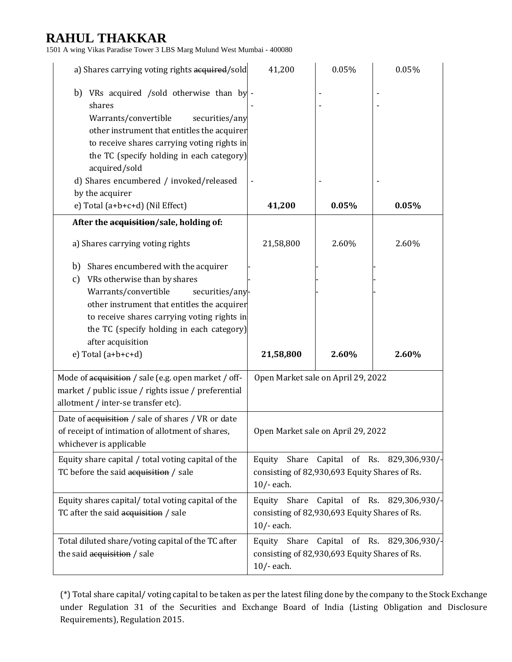1501 A wing Vikas Paradise Tower 3 LBS Marg Mulund West Mumbai - 400080

| a) Shares carrying voting rights acquired/sold                                                                                                                                                                                                                                                                                                             | 41,200                                                                                                      | 0.05% | 0.05% |  |
|------------------------------------------------------------------------------------------------------------------------------------------------------------------------------------------------------------------------------------------------------------------------------------------------------------------------------------------------------------|-------------------------------------------------------------------------------------------------------------|-------|-------|--|
| b) VRs acquired /sold otherwise than by -<br>shares<br>Warrants/convertible<br>securities/any<br>other instrument that entitles the acquirer<br>to receive shares carrying voting rights in<br>the TC (specify holding in each category)<br>acquired/sold<br>d) Shares encumbered / invoked/released<br>by the acquirer<br>e) Total (a+b+c+d) (Nil Effect) | 41,200                                                                                                      | 0.05% | 0.05% |  |
| After the acquisition/sale, holding of:                                                                                                                                                                                                                                                                                                                    |                                                                                                             |       |       |  |
| a) Shares carrying voting rights                                                                                                                                                                                                                                                                                                                           | 21,58,800                                                                                                   | 2.60% | 2.60% |  |
| Shares encumbered with the acquirer<br>b)<br>VRs otherwise than by shares<br>c)<br>Warrants/convertible<br>securities/any-<br>other instrument that entitles the acquirer<br>to receive shares carrying voting rights in<br>the TC (specify holding in each category)<br>after acquisition<br>e) Total $(a+b+c+d)$                                         | 21,58,800                                                                                                   | 2.60% | 2.60% |  |
| Mode of acquisition / sale (e.g. open market / off-<br>market / public issue / rights issue / preferential<br>allotment / inter-se transfer etc).                                                                                                                                                                                                          | Open Market sale on April 29, 2022                                                                          |       |       |  |
| Date of acquisition / sale of shares / VR or date<br>of receipt of intimation of allotment of shares,<br>whichever is applicable                                                                                                                                                                                                                           | Open Market sale on April 29, 2022                                                                          |       |       |  |
| Equity share capital / total voting capital of the<br>TC before the said acquisition / sale                                                                                                                                                                                                                                                                | Share Capital of Rs. 829,306,930/-<br>Equity<br>consisting of 82,930,693 Equity Shares of Rs.<br>10/-each.  |       |       |  |
| Equity shares capital/ total voting capital of the<br>TC after the said acquisition / sale                                                                                                                                                                                                                                                                 | Share Capital of Rs. 829,306,930/-<br>Equity<br>consisting of 82,930,693 Equity Shares of Rs.<br>10/- each. |       |       |  |
| Total diluted share/voting capital of the TC after<br>the said acquisition / sale                                                                                                                                                                                                                                                                          | Equity Share Capital of Rs. 829,306,930/-<br>consisting of 82,930,693 Equity Shares of Rs.<br>$10/-$ each.  |       |       |  |

(\*) Total share capital/ voting capital to be taken as per the latest filing done by the company to the Stock Exchange under Regulation 31 of the Securities and Exchange Board of India (Listing Obligation and Disclosure Requirements), Regulation 2015.